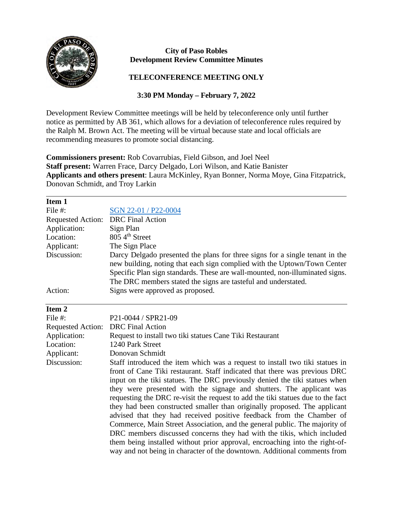

## **City of Paso Robles Development Review Committee Minutes**

## **TELECONFERENCE MEETING ONLY**

## **3:30 PM Monday – February 7, 2022**

Development Review Committee meetings will be held by teleconference only until further notice as permitted by AB 361, which allows for a deviation of teleconference rules required by the Ralph M. Brown Act. The meeting will be virtual because state and local officials are recommending measures to promote social distancing.

**Commissioners present:** Rob Covarrubias, Field Gibson, and Joel Neel **Staff present:** Warren Frace, Darcy Delgado, Lori Wilson, and Katie Banister **Applicants and others present**: Laura McKinley, Ryan Bonner, Norma Moye, Gina Fitzpatrick, Donovan Schmidt, and Troy Larkin

| Item 1                   |                                                                                                                                                                                                                                                                                                                                                                                                                                                                                                                                                                                                                                                                                                                                                                                                 |
|--------------------------|-------------------------------------------------------------------------------------------------------------------------------------------------------------------------------------------------------------------------------------------------------------------------------------------------------------------------------------------------------------------------------------------------------------------------------------------------------------------------------------------------------------------------------------------------------------------------------------------------------------------------------------------------------------------------------------------------------------------------------------------------------------------------------------------------|
| File #:                  | SGN 22-01 / P22-0004                                                                                                                                                                                                                                                                                                                                                                                                                                                                                                                                                                                                                                                                                                                                                                            |
| <b>Requested Action:</b> | <b>DRC</b> Final Action                                                                                                                                                                                                                                                                                                                                                                                                                                                                                                                                                                                                                                                                                                                                                                         |
| Application:             | Sign Plan                                                                                                                                                                                                                                                                                                                                                                                                                                                                                                                                                                                                                                                                                                                                                                                       |
| Location:                | 805 4 <sup>th</sup> Street                                                                                                                                                                                                                                                                                                                                                                                                                                                                                                                                                                                                                                                                                                                                                                      |
| Applicant:               | The Sign Place                                                                                                                                                                                                                                                                                                                                                                                                                                                                                                                                                                                                                                                                                                                                                                                  |
| Discussion:              | Darcy Delgado presented the plans for three signs for a single tenant in the<br>new building, noting that each sign complied with the Uptown/Town Center<br>Specific Plan sign standards. These are wall-mounted, non-illuminated signs.                                                                                                                                                                                                                                                                                                                                                                                                                                                                                                                                                        |
|                          | The DRC members stated the signs are tasteful and understated.                                                                                                                                                                                                                                                                                                                                                                                                                                                                                                                                                                                                                                                                                                                                  |
| Action:                  | Signs were approved as proposed.                                                                                                                                                                                                                                                                                                                                                                                                                                                                                                                                                                                                                                                                                                                                                                |
| Item <sub>2</sub>        |                                                                                                                                                                                                                                                                                                                                                                                                                                                                                                                                                                                                                                                                                                                                                                                                 |
| File #:                  | P21-0044 / SPR21-09                                                                                                                                                                                                                                                                                                                                                                                                                                                                                                                                                                                                                                                                                                                                                                             |
| <b>Requested Action:</b> | <b>DRC</b> Final Action                                                                                                                                                                                                                                                                                                                                                                                                                                                                                                                                                                                                                                                                                                                                                                         |
| Application:             | Request to install two tiki statues Cane Tiki Restaurant                                                                                                                                                                                                                                                                                                                                                                                                                                                                                                                                                                                                                                                                                                                                        |
| Location:                | 1240 Park Street                                                                                                                                                                                                                                                                                                                                                                                                                                                                                                                                                                                                                                                                                                                                                                                |
| Applicant:               | Donovan Schmidt                                                                                                                                                                                                                                                                                                                                                                                                                                                                                                                                                                                                                                                                                                                                                                                 |
| Discussion:              | Staff introduced the item which was a request to install two tiki statues in<br>front of Cane Tiki restaurant. Staff indicated that there was previous DRC<br>input on the tiki statues. The DRC previously denied the tiki statues when<br>they were presented with the signage and shutters. The applicant was<br>requesting the DRC re-visit the request to add the tiki statues due to the fact<br>they had been constructed smaller than originally proposed. The applicant<br>advised that they had received positive feedback from the Chamber of<br>Commerce, Main Street Association, and the general public. The majority of<br>DRC members discussed concerns they had with the tikis, which included<br>them being installed without prior approval, encroaching into the right-of- |
|                          | way and not being in character of the downtown. Additional comments from                                                                                                                                                                                                                                                                                                                                                                                                                                                                                                                                                                                                                                                                                                                        |